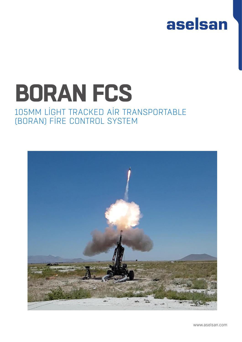

## **BORAN FCS** 105MM LIGHT TRACKED AIR TRANSPORTABLE (BORAN) FIRE CONTROL SYSTEM